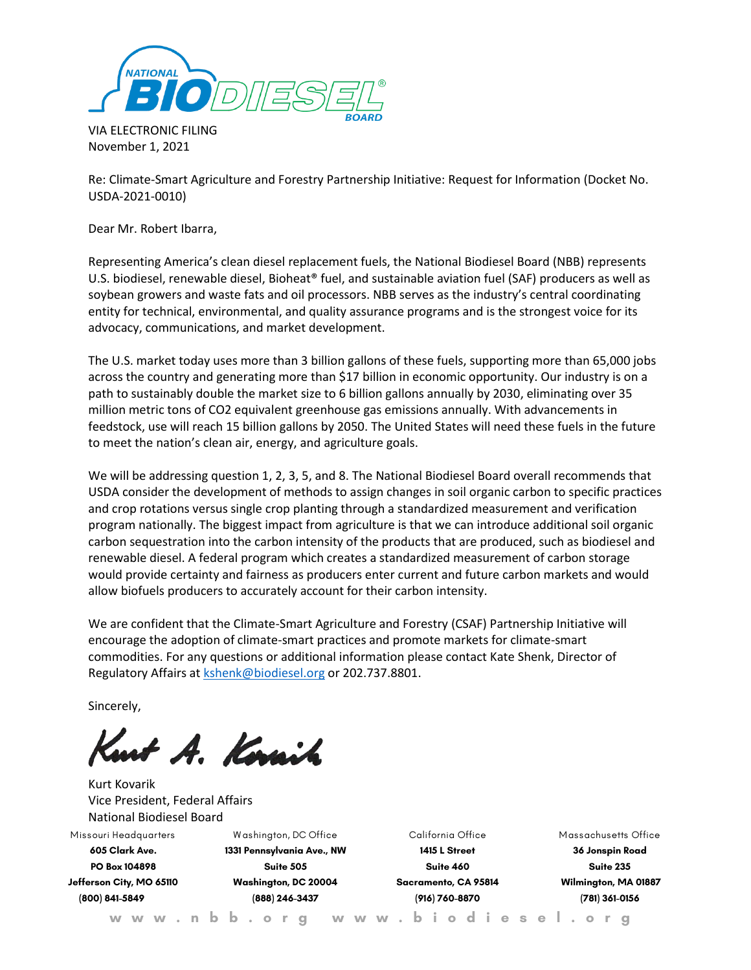

VIA ELECTRONIC FILING November 1, 2021

Re: Climate-Smart Agriculture and Forestry Partnership Initiative: Request for Information (Docket No. USDA-2021-0010)

Dear Mr. Robert Ibarra,

Representing America's clean diesel replacement fuels, the National Biodiesel Board (NBB) represents U.S. biodiesel, renewable diesel, Bioheat® fuel, and sustainable aviation fuel (SAF) producers as well as soybean growers and waste fats and oil processors. NBB serves as the industry's central coordinating entity for technical, environmental, and quality assurance programs and is the strongest voice for its advocacy, communications, and market development.

The U.S. market today uses more than 3 billion gallons of these fuels, supporting more than 65,000 jobs across the country and generating more than \$17 billion in economic opportunity. Our industry is on a path to sustainably double the market size to 6 billion gallons annually by 2030, eliminating over 35 million metric tons of CO2 equivalent greenhouse gas emissions annually. With advancements in feedstock, use will reach 15 billion gallons by 2050. The United States will need these fuels in the future to meet the nation's clean air, energy, and agriculture goals.

We will be addressing question 1, 2, 3, 5, and 8. The National Biodiesel Board overall recommends that USDA consider the development of methods to assign changes in soil organic carbon to specific practices and crop rotations versus single crop planting through a standardized measurement and verification program nationally. The biggest impact from agriculture is that we can introduce additional soil organic carbon sequestration into the carbon intensity of the products that are produced, such as biodiesel and renewable diesel. A federal program which creates a standardized measurement of carbon storage would provide certainty and fairness as producers enter current and future carbon markets and would allow biofuels producers to accurately account for their carbon intensity.

We are confident that the Climate-Smart Agriculture and Forestry (CSAF) Partnership Initiative will encourage the adoption of climate-smart practices and promote markets for climate-smart commodities. For any questions or additional information please contact Kate Shenk, Director of Regulatory Affairs at **kshenk@biodiesel.org** or 202.737.8801.

Sincerely,

mt A. Kovaih

Kurt Kovarik Vice President, Federal Affairs National Biodiesel Board

**Missouri Headquarters 605 Clark Ave. PO Box 104898 Jefferson City, MO 65110 (800) 841-5849**

**W ashington, DC Office 1331 Pennsylvania Ave., NW Suite 505 Washington, DC 20004 (888) 246-3437**

**California Office 1415 L Street Suite 460 Sacramento, CA 95814 (916) 760-8870**

**Massachusetts Office 36 Jonspin Road Suite 235 Wilmington, MA 01887 (781) 361-0156**

**w w w . n b b . o r g w w w . b i o d i e s e l . o r g**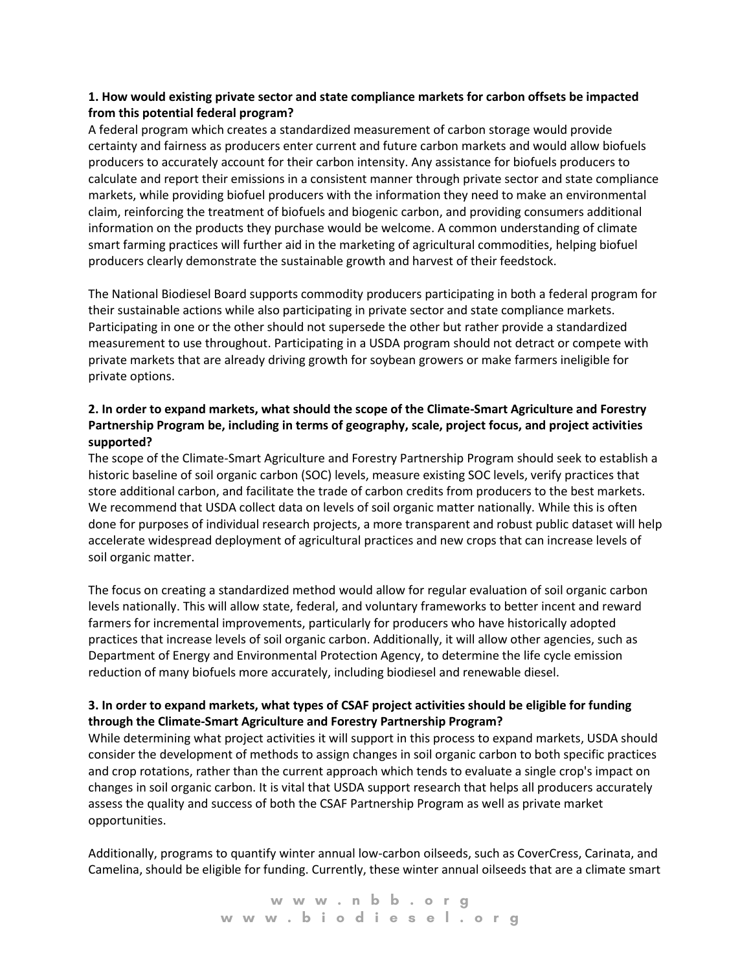### **1. How would existing private sector and state compliance markets for carbon offsets be impacted from this potential federal program?**

A federal program which creates a standardized measurement of carbon storage would provide certainty and fairness as producers enter current and future carbon markets and would allow biofuels producers to accurately account for their carbon intensity. Any assistance for biofuels producers to calculate and report their emissions in a consistent manner through private sector and state compliance markets, while providing biofuel producers with the information they need to make an environmental claim, reinforcing the treatment of biofuels and biogenic carbon, and providing consumers additional information on the products they purchase would be welcome. A common understanding of climate smart farming practices will further aid in the marketing of agricultural commodities, helping biofuel producers clearly demonstrate the sustainable growth and harvest of their feedstock.

The National Biodiesel Board supports commodity producers participating in both a federal program for their sustainable actions while also participating in private sector and state compliance markets. Participating in one or the other should not supersede the other but rather provide a standardized measurement to use throughout. Participating in a USDA program should not detract or compete with private markets that are already driving growth for soybean growers or make farmers ineligible for private options.

# **2. In order to expand markets, what should the scope of the Climate-Smart Agriculture and Forestry Partnership Program be, including in terms of geography, scale, project focus, and project activities supported?**

The scope of the Climate-Smart Agriculture and Forestry Partnership Program should seek to establish a historic baseline of soil organic carbon (SOC) levels, measure existing SOC levels, verify practices that store additional carbon, and facilitate the trade of carbon credits from producers to the best markets. We recommend that USDA collect data on levels of soil organic matter nationally. While this is often done for purposes of individual research projects, a more transparent and robust public dataset will help accelerate widespread deployment of agricultural practices and new crops that can increase levels of soil organic matter.

The focus on creating a standardized method would allow for regular evaluation of soil organic carbon levels nationally. This will allow state, federal, and voluntary frameworks to better incent and reward farmers for incremental improvements, particularly for producers who have historically adopted practices that increase levels of soil organic carbon. Additionally, it will allow other agencies, such as Department of Energy and Environmental Protection Agency, to determine the life cycle emission reduction of many biofuels more accurately, including biodiesel and renewable diesel.

## **3. In order to expand markets, what types of CSAF project activities should be eligible for funding through the Climate-Smart Agriculture and Forestry Partnership Program?**

While determining what project activities it will support in this process to expand markets, USDA should consider the development of methods to assign changes in soil organic carbon to both specific practices and crop rotations, rather than the current approach which tends to evaluate a single crop's impact on changes in soil organic carbon. It is vital that USDA support research that helps all producers accurately assess the quality and success of both the CSAF Partnership Program as well as private market opportunities.

Additionally, programs to quantify winter annual low-carbon oilseeds, such as CoverCress, Carinata, and Camelina, should be eligible for funding. Currently, these winter annual oilseeds that are a climate smart